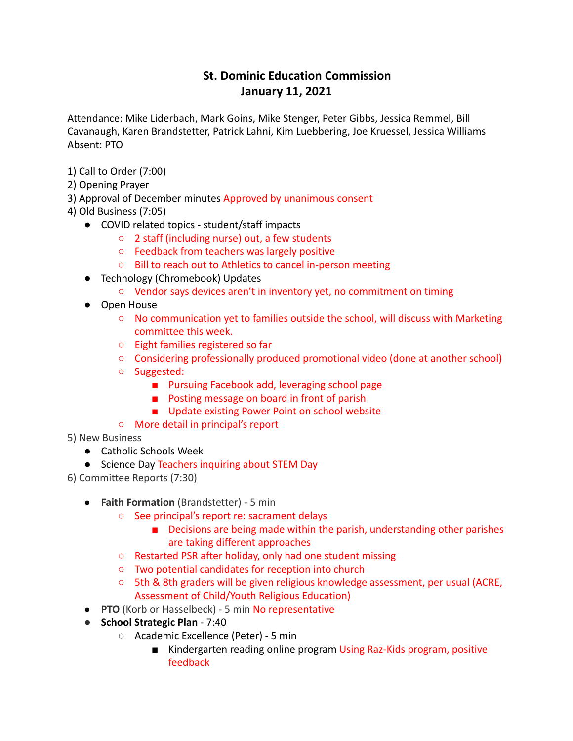## **St. Dominic Education Commission January 11, 2021**

Attendance: Mike Liderbach, Mark Goins, Mike Stenger, Peter Gibbs, Jessica Remmel, Bill Cavanaugh, Karen Brandstetter, Patrick Lahni, Kim Luebbering, Joe Kruessel, Jessica Williams Absent: PTO

- 1) Call to Order (7:00)
- 2) Opening Prayer
- 3) Approval of December minutes Approved by unanimous consent
- 4) Old Business (7:05)
	- COVID related topics student/staff impacts
		- 2 staff (including nurse) out, a few students
		- Feedback from teachers was largely positive
		- Bill to reach out to Athletics to cancel in-person meeting
	- Technology (Chromebook) Updates
		- Vendor says devices aren't in inventory yet, no commitment on timing
	- Open House
		- $\circ$  No communication yet to families outside the school, will discuss with Marketing committee this week.
		- Eight families registered so far
		- Considering professionally produced promotional video (done at another school)
		- Suggested:
			- Pursuing Facebook add, leveraging school page
			- Posting message on board in front of parish
			- Update existing Power Point on school website
		- More detail in principal's report
- 5) New Business
	- Catholic Schools Week
	- Science Day Teachers inquiring about STEM Day
- 6) Committee Reports (7:30)
	- **Faith Formation** (Brandstetter) 5 min
		- See principal's report re: sacrament delays
			- Decisions are being made within the parish, understanding other parishes are taking different approaches
		- Restarted PSR after holiday, only had one student missing
		- Two potential candidates for reception into church
		- 5th & 8th graders will be given religious knowledge assessment, per usual (ACRE, Assessment of Child/Youth Religious Education)
	- **PTO** (Korb or Hasselbeck) 5 min No representative
	- **School Strategic Plan** 7:40
		- Academic Excellence (Peter) 5 min
			- Kindergarten reading online program Using Raz-Kids program, positive feedback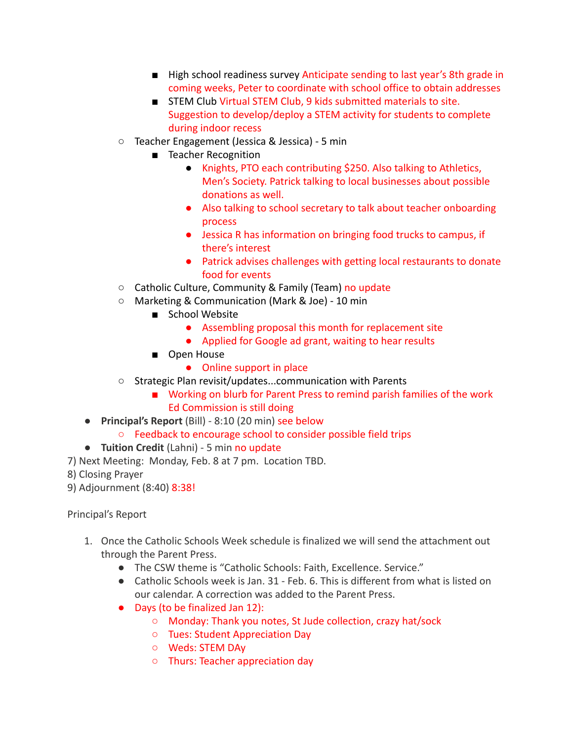- High school readiness survey Anticipate sending to last year's 8th grade in coming weeks, Peter to coordinate with school office to obtain addresses
- STEM Club Virtual STEM Club, 9 kids submitted materials to site. Suggestion to develop/deploy a STEM activity for students to complete during indoor recess
- Teacher Engagement (Jessica & Jessica) 5 min
	- Teacher Recognition
		- Knights, PTO each contributing \$250. Also talking to Athletics, Men's Society. Patrick talking to local businesses about possible donations as well.
		- Also talking to school secretary to talk about teacher onboarding process
		- Jessica R has information on bringing food trucks to campus, if there's interest
		- Patrick advises challenges with getting local restaurants to donate food for events
- Catholic Culture, Community & Family (Team) no update
- Marketing & Communication (Mark & Joe) 10 min
	- School Website
		- Assembling proposal this month for replacement site
		- Applied for Google ad grant, waiting to hear results
	- Open House
		- Online support in place
- Strategic Plan revisit/updates...communication with Parents
	- Working on blurb for Parent Press to remind parish families of the work Ed Commission is still doing
- **Principal's Report** (Bill) 8:10 (20 min) see below
	- Feedback to encourage school to consider possible field trips
- **Tuition Credit** (Lahni) 5 min no update
- 7) Next Meeting: Monday, Feb. 8 at 7 pm. Location TBD.
- 8) Closing Prayer
- 9) Adjournment (8:40) 8:38!

Principal's Report

- 1. Once the Catholic Schools Week schedule is finalized we will send the attachment out through the Parent Press.
	- The CSW theme is "Catholic Schools: Faith, Excellence. Service."
	- Catholic Schools week is Jan. 31 Feb. 6. This is different from what is listed on our calendar. A correction was added to the Parent Press.
	- Days (to be finalized Jan 12):
		- Monday: Thank you notes, St Jude collection, crazy hat/sock
		- Tues: Student Appreciation Day
		- Weds: STEM DAy
		- Thurs: Teacher appreciation day